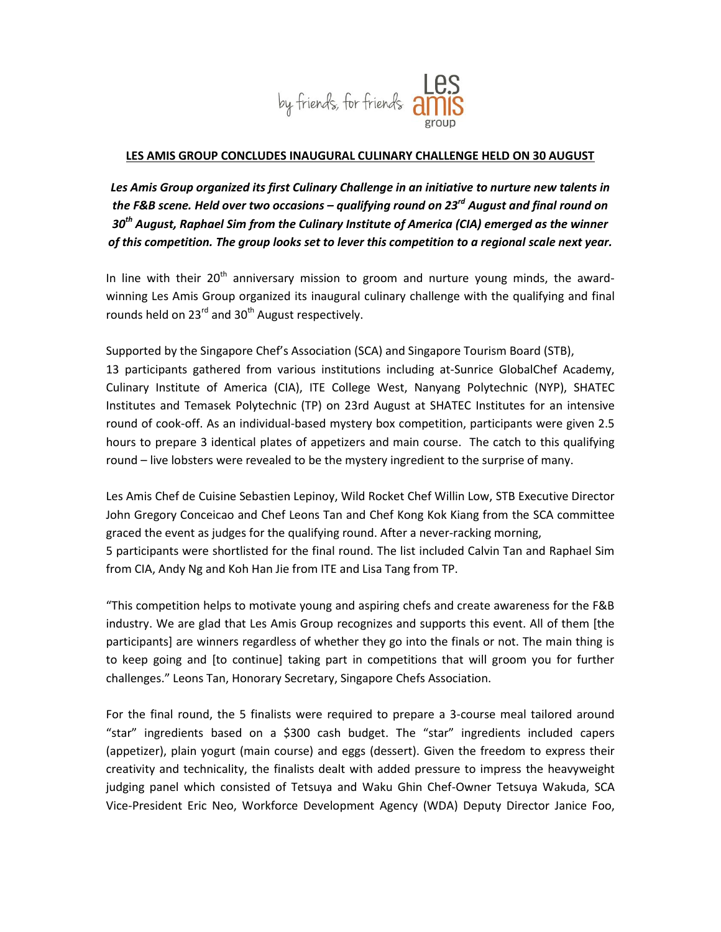

## **LES AMIS GROUP CONCLUDES INAUGURAL CULINARY CHALLENGE HELD ON 30 AUGUST**

Les Amis Group organized its first Culinary Challenge in an initiative to nurture new talents in *the F&B scene. Held over two occasions – qualifying round on 23rd August and final round on 30th August, Raphael Sim from the Culinary Institute of America (CIA) emerged as the winner of this competition. The group looks set to lever this competition to a regional scale next year.*

In line with their  $20<sup>th</sup>$  anniversary mission to groom and nurture young minds, the awardwinning Les Amis Group organized its inaugural culinary challenge with the qualifying and final rounds held on 23 $^{rd}$  and 30<sup>th</sup> August respectively.

Supported by the Singapore Chef's Association (SCA) and Singapore Tourism Board (STB), 13 participants gathered from various institutions including at-Sunrice GlobalChef Academy, Culinary Institute of America (CIA), ITE College West, Nanyang Polytechnic (NYP), SHATEC Institutes and Temasek Polytechnic (TP) on 23rd August at SHATEC Institutes for an intensive round of cook-off. As an individual-based mystery box competition, participants were given 2.5 hours to prepare 3 identical plates of appetizers and main course. The catch to this qualifying round – live lobsters were revealed to be the mystery ingredient to the surprise of many.

Les Amis Chef de Cuisine Sebastien Lepinoy, Wild Rocket Chef Willin Low, STB Executive Director John Gregory Conceicao and Chef Leons Tan and Chef Kong Kok Kiang from the SCA committee graced the event as judges for the qualifying round. After a never-racking morning, 5 participants were shortlisted for the final round. The list included Calvin Tan and Raphael Sim from CIA, Andy Ng and Koh Han Jie from ITE and Lisa Tang from TP.

"This competition helps to motivate young and aspiring chefs and create awareness for the F&B industry. We are glad that Les Amis Group recognizes and supports this event. All of them [the participants] are winners regardless of whether they go into the finals or not. The main thing is to keep going and [to continue] taking part in competitions that will groom you for further challenges." Leons Tan, Honorary Secretary, Singapore Chefs Association.

For the final round, the 5 finalists were required to prepare a 3-course meal tailored around "star" ingredients based on a \$300 cash budget. The "star" ingredients included capers (appetizer), plain yogurt (main course) and eggs (dessert). Given the freedom to express their creativity and technicality, the finalists dealt with added pressure to impress the heavyweight judging panel which consisted of Tetsuya and Waku Ghin Chef-Owner Tetsuya Wakuda, SCA Vice-President Eric Neo, Workforce Development Agency (WDA) Deputy Director Janice Foo,